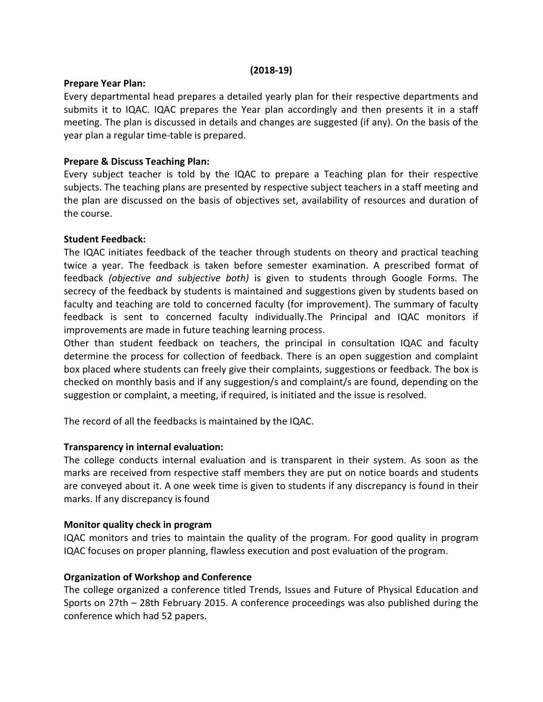#### (2018-19)

#### Prepare Year Plan:

Every departmental head prepares a detailed yearly plan for their respective departments and submits it to IQAC. IQAC prepares the Year plan accordingly and then presents it in a staff meeting. The plan is discussed in details and changes are suggested (if any). On the basis of the year plan a regular time-table is prepared.

## Prepare & Discuss Teaching Plan:

Every subject teacher is told by the IQAC to prepare a Teaching plan for their respective subjects. The teaching plans are presented by respective subject teachers in a staff meeting and the plan are discussed on the basis of objectives set, availability of resources and duration of the course.

## Student Feedback:

The IQAC initiates feedback of the teacher through students on theory and practical teaching twice a year. The feedback is taken before semester examination. A prescribed format of feedback (objective and subjective both) is given to students through Google Forms. The secrecy of the feedback by students is maintained and suggestions given by students based on faculty and teaching are told to concerned faculty (for improvement). The summary of faculty feedback is sent to concerned faculty individually.The Principal and IQAC monitors if improvements are made in future teaching learning process.

Other than student feedback on teachers, the principal in consultation IQAC and faculty determine the process for collection of feedback. There is an open suggestion and complaint box placed where students can freely give their complaints, suggestions or feedback. The box is checked on monthly basis and if any suggestion/s and complaint/s are found, depending on the suggestion or complaint, a meeting, if required, is initiated and the issue is resolved.

The record of all the feedbacks is maintained by the IQAC.

## Transparency in internal evaluation:

The college conducts internal evaluation and is transparent in their system. As soon as the marks are received from respective staff members they are put on notice boards and students are conveyed about it. A one week time is given to students if any discrepancy is found in their marks. If any discrepancy is found

## Monitor quality check in program

IQAC monitors and tries to maintain the quality of the program. For good quality in program IQAC focuses on proper planning, flawless execution and post evaluation of the program.

## Organization of Workshop and Conference

The college organized a conference titled Trends, Issues and Future of Physical Education and Sports on 27th – 28th February 2015. A conference proceedings was also published during the conference which had 52 papers.